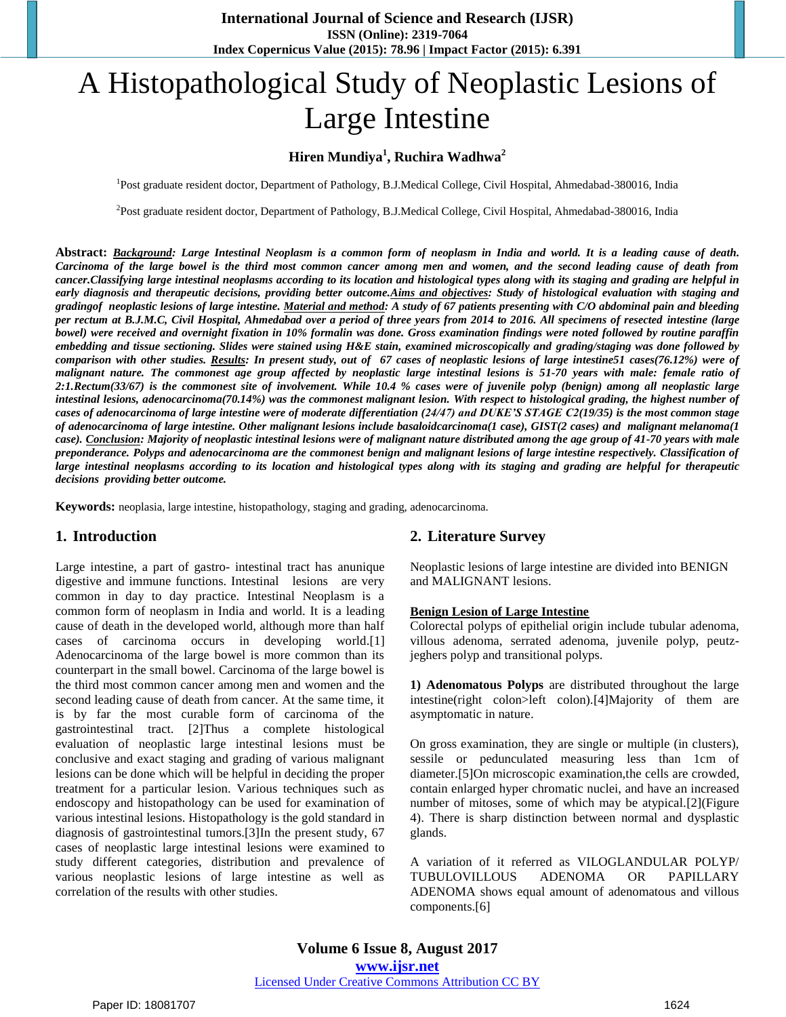# A Histopathological Study of Neoplastic Lesions of Large Intestine

# **Hiren Mundiya<sup>1</sup> , Ruchira Wadhwa<sup>2</sup>**

<sup>1</sup>Post graduate resident doctor, Department of Pathology, B.J.Medical College, Civil Hospital, Ahmedabad-380016, India

<sup>2</sup>Post graduate resident doctor, Department of Pathology, B.J.Medical College, Civil Hospital, Ahmedabad-380016, India

**Abstract:** *Background: Large Intestinal Neoplasm is a common form of neoplasm in India and world. It is a leading cause of death. Carcinoma of the large bowel is the third most common cancer among men and women, and the second leading cause of death from cancer.Classifying large intestinal neoplasms according to its location and histological types along with its staging and grading are helpful in*  early diagnosis and therapeutic decisions, providing better outcome. Aims and objectives: Study of histological evaluation with staging and *gradingof neoplastic lesions of large intestine. Material and method: A study of 67 patients presenting with C/O abdominal pain and bleeding per rectum at B.J.M.C, Civil Hospital, Ahmedabad over a period of three years from 2014 to 2016. All specimens of resected intestine (large bowel) were received and overnight fixation in 10% formalin was done. Gross examination findings were noted followed by routine paraffin embedding and tissue sectioning. Slides were stained using H&E stain, examined microscopically and grading/staging was done followed by comparison with other studies. Results: In present study, out of 67 cases of neoplastic lesions of large intestine51 cases(76.12%) were of malignant nature. The commonest age group affected by neoplastic large intestinal lesions is 51-70 years with male: female ratio of 2:1.Rectum(33/67) is the commonest site of involvement. While 10.4 % cases were of juvenile polyp (benign) among all neoplastic large intestinal lesions, adenocarcinoma(70.14%) was the commonest malignant lesion. With respect to histological grading, the highest number of cases of adenocarcinoma of large intestine were of moderate differentiation (24/47) and DUKE'S STAGE C2(19/35) is the most common stage of adenocarcinoma of large intestine. Other malignant lesions include basaloidcarcinoma(1 case), GIST(2 cases) and malignant melanoma(1 case). Conclusion: Majority of neoplastic intestinal lesions were of malignant nature distributed among the age group of 41-70 years with male preponderance. Polyps and adenocarcinoma are the commonest benign and malignant lesions of large intestine respectively. Classification of large intestinal neoplasms according to its location and histological types along with its staging and grading are helpful for therapeutic decisions providing better outcome.*

**Keywords:** neoplasia, large intestine, histopathology, staging and grading, adenocarcinoma.

# **1. Introduction**

Large intestine, a part of gastro- intestinal tract has anunique digestive and immune functions. Intestinal lesions are very common in day to day practice. Intestinal Neoplasm is a common form of neoplasm in India and world. It is a leading cause of death in the developed world, although more than half cases of carcinoma occurs in developing world.[1] Adenocarcinoma of the large bowel is more common than its counterpart in the small bowel. Carcinoma of the large bowel is the third most common cancer among men and women and the second leading cause of death from cancer. At the same time, it is by far the most curable form of carcinoma of the gastrointestinal tract. [2]Thus a complete histological evaluation of neoplastic large intestinal lesions must be conclusive and exact staging and grading of various malignant lesions can be done which will be helpful in deciding the proper treatment for a particular lesion. Various techniques such as endoscopy and histopathology can be used for examination of various intestinal lesions. Histopathology is the gold standard in diagnosis of gastrointestinal tumors.[3]In the present study, 67 cases of neoplastic large intestinal lesions were examined to study different categories, distribution and prevalence of various neoplastic lesions of large intestine as well as correlation of the results with other studies.

# **2. Literature Survey**

Neoplastic lesions of large intestine are divided into BENIGN and MALIGNANT lesions.

#### **Benign Lesion of Large Intestine**

Colorectal polyps of epithelial origin include tubular adenoma, villous adenoma, serrated adenoma, juvenile polyp, peutzjeghers polyp and transitional polyps.

**1) Adenomatous Polyps** are distributed throughout the large intestine(right colon>left colon).[4]Majority of them are asymptomatic in nature.

On gross examination, they are single or multiple (in clusters), sessile or pedunculated measuring less than 1cm of diameter.[5]On microscopic examination,the cells are crowded, contain enlarged hyper chromatic nuclei, and have an increased number of mitoses, some of which may be atypical.[2](Figure 4). There is sharp distinction between normal and dysplastic glands.

A variation of it referred as VILOGLANDULAR POLYP/ TUBULOVILLOUS ADENOMA OR PAPILLARY ADENOMA shows equal amount of adenomatous and villous components.[6]

**Volume 6 Issue 8, August 2017 <www.ijsr.net>** [Licensed Under Creative Commons Attribution CC BY](http://creativecommons.org/licenses/by/4.0/)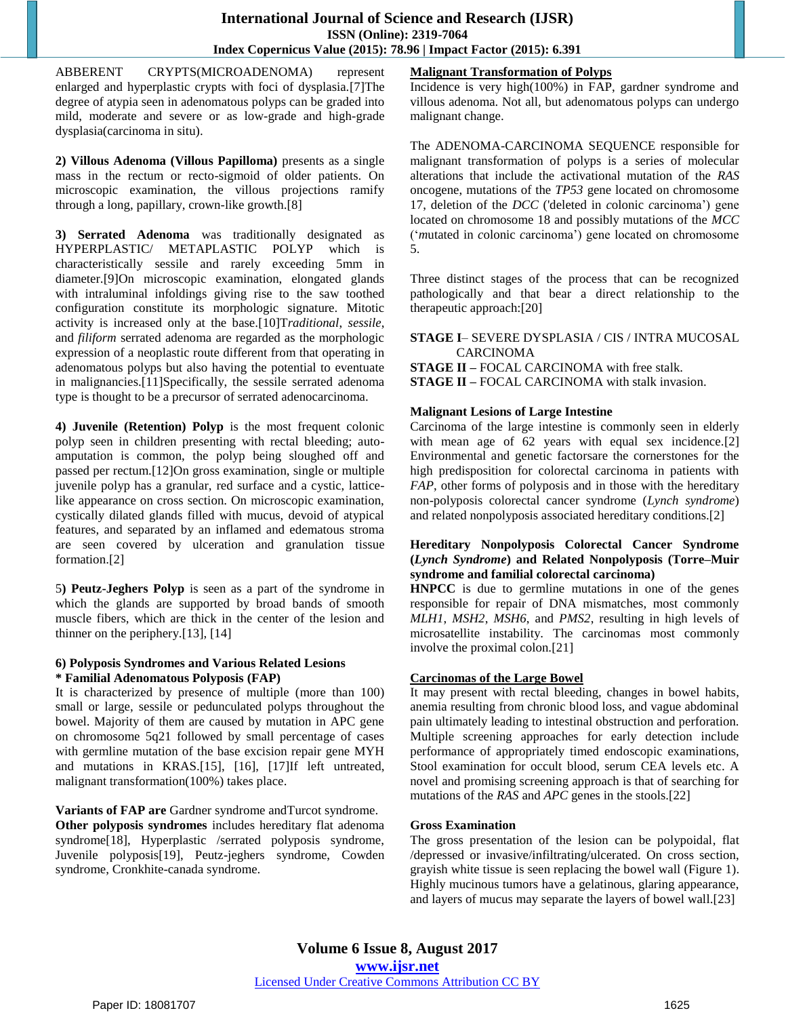ABBERENT CRYPTS(MICROADENOMA) represent enlarged and hyperplastic crypts with foci of dysplasia.[7]The degree of atypia seen in adenomatous polyps can be graded into mild, moderate and severe or as low-grade and high-grade dysplasia(carcinoma in situ).

**2) Villous Adenoma (Villous Papilloma)** presents as a single mass in the rectum or recto-sigmoid of older patients. On microscopic examination, the villous projections ramify through a long, papillary, crown-like growth.[8]

**3) Serrated Adenoma** was traditionally designated as HYPERPLASTIC/ METAPLASTIC POLYP which is characteristically sessile and rarely exceeding 5mm in diameter.[9]On microscopic examination, elongated glands with intraluminal infoldings giving rise to the saw toothed configuration constitute its morphologic signature. Mitotic activity is increased only at the base.[10]T*raditional*, *sessile*, and *filiform* serrated adenoma are regarded as the morphologic expression of a neoplastic route different from that operating in adenomatous polyps but also having the potential to eventuate in malignancies.[11]Specifically, the sessile serrated adenoma type is thought to be a precursor of serrated adenocarcinoma.

**4) Juvenile (Retention) Polyp** is the most frequent colonic polyp seen in children presenting with rectal bleeding; autoamputation is common, the polyp being sloughed off and passed per rectum.[12]On gross examination, single or multiple juvenile polyp has a granular, red surface and a cystic, latticelike appearance on cross section. On microscopic examination, cystically dilated glands filled with mucus, devoid of atypical features, and separated by an inflamed and edematous stroma are seen covered by ulceration and granulation tissue formation.[2]

5**) Peutz-Jeghers Polyp** is seen as a part of the syndrome in which the glands are supported by broad bands of smooth muscle fibers, which are thick in the center of the lesion and thinner on the periphery.[13], [14]

#### **6) Polyposis Syndromes and Various Related Lesions \* Familial Adenomatous Polyposis (FAP)**

It is characterized by presence of multiple (more than 100) small or large, sessile or pedunculated polyps throughout the bowel. Majority of them are caused by mutation in APC gene on chromosome 5q21 followed by small percentage of cases with germline mutation of the base excision repair gene MYH and mutations in KRAS.[15], [16], [17]If left untreated, malignant transformation(100%) takes place.

**Variants of FAP are** Gardner syndrome andTurcot syndrome. **Other polyposis syndromes** includes hereditary flat adenoma syndrome[18], Hyperplastic /serrated polyposis syndrome, Juvenile polyposis[19], Peutz-jeghers syndrome, Cowden syndrome, Cronkhite-canada syndrome.

# **Malignant Transformation of Polyps**

Incidence is very high(100%) in FAP, gardner syndrome and villous adenoma. Not all, but adenomatous polyps can undergo malignant change.

The ADENOMA-CARCINOMA SEQUENCE responsible for malignant transformation of polyps is a series of molecular alterations that include the activational mutation of the *RAS*  oncogene, mutations of the *TP53* gene located on chromosome 17, deletion of the *DCC* ('deleted in *c*olonic *c*arcinoma') gene located on chromosome 18 and possibly mutations of the *MCC*  ('*m*utated in *c*olonic *c*arcinoma') gene located on chromosome 5.

Three distinct stages of the process that can be recognized pathologically and that bear a direct relationship to the therapeutic approach:[20]

**STAGE I**– SEVERE DYSPLASIA / CIS / INTRA MUCOSAL CARCINOMA **STAGE II –** FOCAL CARCINOMA with free stalk. **STAGE II –** FOCAL CARCINOMA with stalk invasion.

## **Malignant Lesions of Large Intestine**

Carcinoma of the large intestine is commonly seen in elderly with mean age of 62 years with equal sex incidence.[2] Environmental and genetic factorsare the cornerstones for the high predisposition for colorectal carcinoma in patients with *FAP*, other forms of polyposis and in those with the hereditary non-polyposis colorectal cancer syndrome (*Lynch syndrome*) and related nonpolyposis associated hereditary conditions.[2]

#### **Hereditary Nonpolyposis Colorectal Cancer Syndrome (***Lynch Syndrome***) and Related Nonpolyposis (Torre–Muir syndrome and familial colorectal carcinoma)**

**HNPCC** is due to germline mutations in one of the genes responsible for repair of DNA mismatches, most commonly *MLH1*, *MSH2*, *MSH6*, and *PMS2*, resulting in high levels of microsatellite instability. The carcinomas most commonly involve the proximal colon.[21]

## **Carcinomas of the Large Bowel**

It may present with rectal bleeding, changes in bowel habits, anemia resulting from chronic blood loss, and vague abdominal pain ultimately leading to intestinal obstruction and perforation. Multiple screening approaches for early detection include performance of appropriately timed endoscopic examinations, Stool examination for occult blood, serum CEA levels etc. A novel and promising screening approach is that of searching for mutations of the *RAS* and *APC* genes in the stools.[22]

## **Gross Examination**

The gross presentation of the lesion can be polypoidal, flat /depressed or invasive/infiltrating/ulcerated. On cross section, grayish white tissue is seen replacing the bowel wall (Figure 1). Highly mucinous tumors have a gelatinous, glaring appearance, and layers of mucus may separate the layers of bowel wall.[23]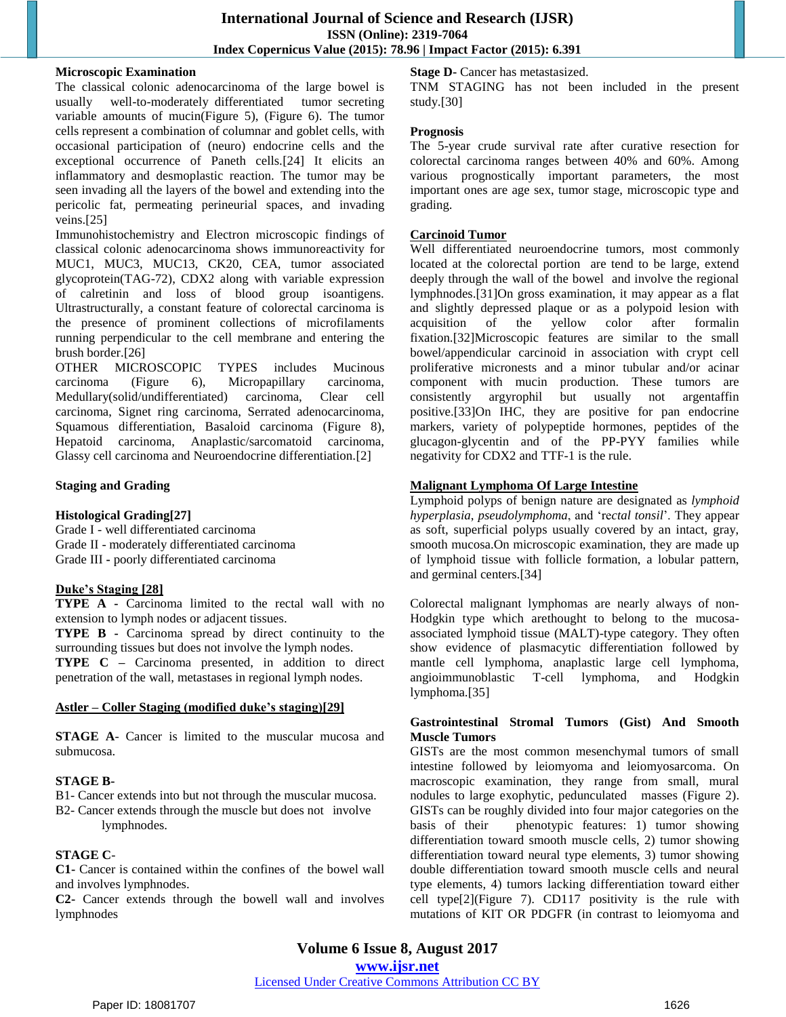#### **Microscopic Examination**

The classical colonic adenocarcinoma of the large bowel is usually well-to-moderately differentiated tumor secreting variable amounts of mucin(Figure 5), (Figure 6). The tumor cells represent a combination of columnar and goblet cells, with occasional participation of (neuro) endocrine cells and the exceptional occurrence of Paneth cells.[24] It elicits an inflammatory and desmoplastic reaction. The tumor may be seen invading all the layers of the bowel and extending into the pericolic fat, permeating perineurial spaces, and invading veins.[25]

Immunohistochemistry and Electron microscopic findings of classical colonic adenocarcinoma shows immunoreactivity for MUC1, MUC3, MUC13, CK20, CEA, tumor associated glycoprotein(TAG-72), CDX2 along with variable expression of calretinin and loss of blood group isoantigens. Ultrastructurally, a constant feature of colorectal carcinoma is the presence of prominent collections of microfilaments running perpendicular to the cell membrane and entering the brush border.[26]

OTHER MICROSCOPIC TYPES includes Mucinous carcinoma (Figure 6), Micropapillary carcinoma, Medullary(solid/undifferentiated) carcinoma, Clear cell carcinoma, Signet ring carcinoma, Serrated adenocarcinoma, Squamous differentiation, Basaloid carcinoma (Figure 8), Hepatoid carcinoma, Anaplastic/sarcomatoid carcinoma, Glassy cell carcinoma and Neuroendocrine differentiation.[2]

## **Staging and Grading**

## **Histological Grading[27]**

Grade I - well differentiated carcinoma Grade II - moderately differentiated carcinoma Grade III **-** poorly differentiated carcinoma

## **Duke's Staging [28]**

**TYPE A -** Carcinoma limited to the rectal wall with no extension to lymph nodes or adjacent tissues.

**TYPE B -** Carcinoma spread by direct continuity to the surrounding tissues but does not involve the lymph nodes.

**TYPE C –** Carcinoma presented, in addition to direct penetration of the wall, metastases in regional lymph nodes.

#### **Astler – Coller Staging (modified duke's staging)[29]**

**STAGE A**- Cancer is limited to the muscular mucosa and submucosa.

#### **STAGE B-**

B1- Cancer extends into but not through the muscular mucosa.

B2- Cancer extends through the muscle but does not involve lymphnodes.

## **STAGE C**-

**C1-** Cancer is contained within the confines of the bowel wall and involves lymphnodes.

**C2-** Cancer extends through the bowell wall and involves lymphnodes

**Stage D-** Cancer has metastasized.

TNM STAGING has not been included in the present study.[30]

#### **Prognosis**

The 5-year crude survival rate after curative resection for colorectal carcinoma ranges between 40% and 60%. Among various prognostically important parameters, the most important ones are age sex, tumor stage, microscopic type and grading.

#### **Carcinoid Tumor**

Well differentiated neuroendocrine tumors, most commonly located at the colorectal portion are tend to be large, extend deeply through the wall of the bowel and involve the regional lymphnodes.[31]On gross examination, it may appear as a flat and slightly depressed plaque or as a polypoid lesion with acquisition of the yellow color after formalin fixation.[32]Microscopic features are similar to the small bowel/appendicular carcinoid in association with crypt cell proliferative micronests and a minor tubular and/or acinar component with mucin production. These tumors are consistently argyrophil but usually not argentaffin positive.[33]On IHC, they are positive for pan endocrine markers, variety of polypeptide hormones, peptides of the glucagon-glycentin and of the PP-PYY families while negativity for CDX2 and TTF-1 is the rule.

## **Malignant Lymphoma Of Large Intestine**

Lymphoid polyps of benign nature are designated as *lymphoid hyperplasia*, *pseudolymphoma*, and 're*ctal tonsil*'. They appear as soft, superficial polyps usually covered by an intact, gray, smooth mucosa.On microscopic examination, they are made up of lymphoid tissue with follicle formation, a lobular pattern, and germinal centers.[34]

Colorectal malignant lymphomas are nearly always of non-Hodgkin type which arethought to belong to the mucosaassociated lymphoid tissue (MALT)-type category. They often show evidence of plasmacytic differentiation followed by mantle cell lymphoma, anaplastic large cell lymphoma, angioimmunoblastic T-cell lymphoma, and Hodgkin lymphoma.[35]

#### **Gastrointestinal Stromal Tumors (Gist) And Smooth Muscle Tumors**

GISTs are the most common mesenchymal tumors of small intestine followed by leiomyoma and leiomyosarcoma. On macroscopic examination, they range from small, mural nodules to large exophytic, pedunculated masses (Figure 2). GISTs can be roughly divided into four major categories on the basis of their phenotypic features: 1) tumor showing differentiation toward smooth muscle cells, 2) tumor showing differentiation toward neural type elements, 3) tumor showing double differentiation toward smooth muscle cells and neural type elements, 4) tumors lacking differentiation toward either cell type[2](Figure 7). CD117 positivity is the rule with mutations of KIT OR PDGFR (in contrast to leiomyoma and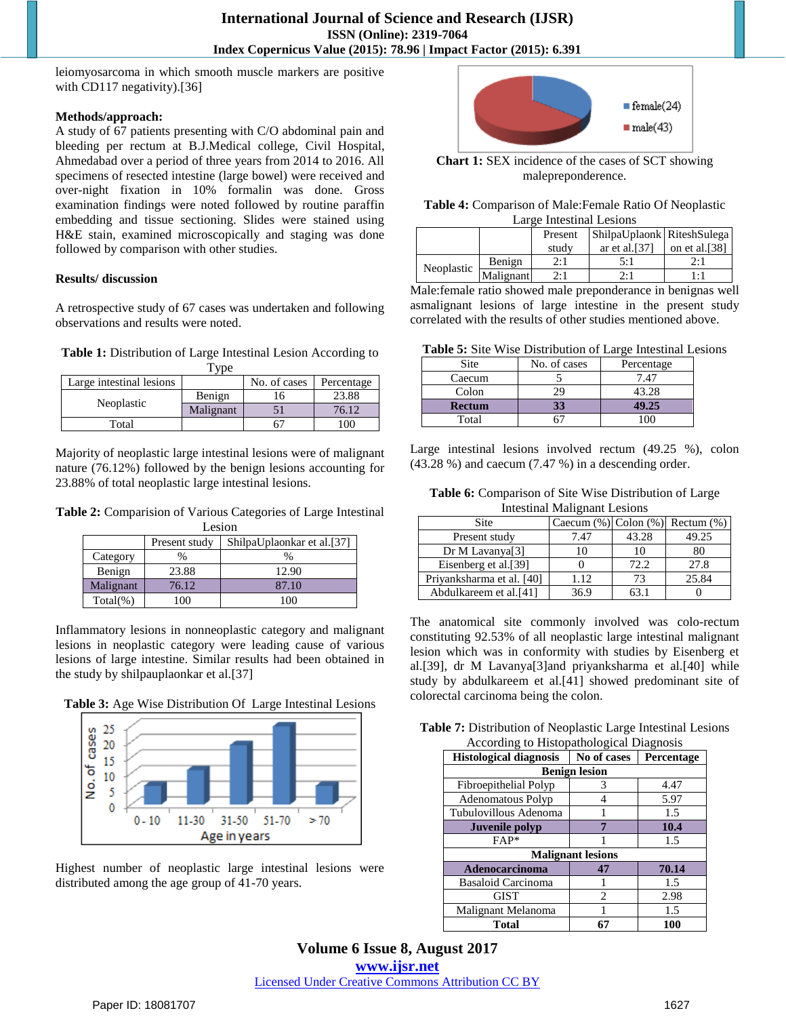leiomyosarcoma in which smooth muscle markers are positive with CD117 negativity).[36]

#### **Methods/approach:**

A study of 67 patients presenting with C/O abdominal pain and bleeding per rectum at B.J.Medical college, Civil Hospital, Ahmedabad over a period of three years from 2014 to 2016. All specimens of resected intestine (large bowel) were received and over-night fixation in 10% formalin was done. Gross examination findings were noted followed by routine paraffin embedding and tissue sectioning. Slides were stained using H&E stain, examined microscopically and staging was done followed by comparison with other studies.

## **Results/ discussion**

A retrospective study of 67 cases was undertaken and following observations and results were noted.

**Table 1:** Distribution of Large Intestinal Lesion According to

| 'ype                                                   |           |  |       |  |
|--------------------------------------------------------|-----------|--|-------|--|
| No. of cases<br>Large intestinal lesions<br>Percentage |           |  |       |  |
|                                                        | Benign    |  | 23.88 |  |
| Neoplastic                                             | Malignant |  | 76.12 |  |
| Total                                                  |           |  |       |  |

Majority of neoplastic large intestinal lesions were of malignant nature (76.12%) followed by the benign lesions accounting for 23.88% of total neoplastic large intestinal lesions.

**Table 2:** Comparision of Various Categories of Large Intestinal Lesion

|              | Present study | ShilpaUplaonkar et al.[37] |  |
|--------------|---------------|----------------------------|--|
| Category     | $\%$          |                            |  |
| Benign       | 23.88         | 12.90                      |  |
| Malignant    | 76.12         | 87.10                      |  |
| $Total(\% )$ | 100           | 100                        |  |

Inflammatory lesions in nonneoplastic category and malignant lesions in neoplastic category were leading cause of various lesions of large intestine. Similar results had been obtained in the study by shilpauplaonkar et al.[37]

**Table 3:** Age Wise Distribution Of Large Intestinal Lesions



Highest number of neoplastic large intestinal lesions were distributed among the age group of 41-70 years.



**Chart 1:** SEX incidence of the cases of SCT showing malepreponderence.

**Table 4:** Comparison of Male:Female Ratio Of Neoplastic Large Intestinal Lesions

|            |           | Present | ShilpaUplaonk RiteshSulega |               |
|------------|-----------|---------|----------------------------|---------------|
|            |           | study   | ar et al. $[37]$           | on et al.[38] |
|            | Benign    | 2:1     | 5:1                        | 2:1           |
| Neoplastic | Malignant | 2:1     | 2:1                        | 1.1           |

Male:female ratio showed male preponderance in benignas well asmalignant lesions of large intestine in the present study correlated with the results of other studies mentioned above.

**Table 5:** Site Wise Distribution of Large Intestinal Lesions

| Site   | No. of cases | Percentage |
|--------|--------------|------------|
| Caecum |              | 7.47       |
| Colon  | О            | 43.28      |
| Rectum |              | 19.25      |
| Total  |              |            |

Large intestinal lesions involved rectum (49.25 %), colon (43.28 %) and caecum (7.47 %) in a descending order.

**Table 6:** Comparison of Site Wise Distribution of Large Intestinal Malignant Lesions

| Site                        | Caecum $(\%)$ Colon $(\%)$ |       | Rectum $(\%)$ |
|-----------------------------|----------------------------|-------|---------------|
| Present study               | 7.47                       | 43.28 | 49.25         |
| Dr M Lavanya <sup>[3]</sup> |                            | 10    | 80            |
| Eisenberg et al.[39]        |                            | 72.2  | 27.8          |
| Priyanksharma et al. [40]   | 1.12                       | 73    | 25.84         |
| Abdulkareem et al.[41]      | 36.9                       |       |               |

The anatomical site commonly involved was colo-rectum constituting 92.53% of all neoplastic large intestinal malignant lesion which was in conformity with studies by Eisenberg et al.[39], dr M Lavanya[3]and priyanksharma et al.[40] while study by abdulkareem et al.[41] showed predominant site of colorectal carcinoma being the colon.

**Table 7:** Distribution of Neoplastic Large Intestinal Lesions According to Histopathological Diagnosis

| <b>Histological diagnosis</b> | No of cases<br>Percentage |       |  |  |  |
|-------------------------------|---------------------------|-------|--|--|--|
|                               |                           |       |  |  |  |
|                               | <b>Benign lesion</b>      |       |  |  |  |
| Fibroepithelial Polyp         | 3                         | 4.47  |  |  |  |
| <b>Adenomatous Polyp</b>      |                           | 5.97  |  |  |  |
| Tubulovillous Adenoma         |                           | 1.5   |  |  |  |
| Juvenile polyp                |                           | 10.4  |  |  |  |
| FAP*                          |                           | 1.5   |  |  |  |
|                               | <b>Malignant lesions</b>  |       |  |  |  |
| <b>Adenocarcinoma</b>         | 47                        | 70.14 |  |  |  |
| <b>Basaloid Carcinoma</b>     |                           | 1.5   |  |  |  |
| <b>GIST</b>                   | 2                         | 2.98  |  |  |  |
| Malignant Melanoma            |                           | 1.5   |  |  |  |
| <b>Total</b>                  | 67                        | 100   |  |  |  |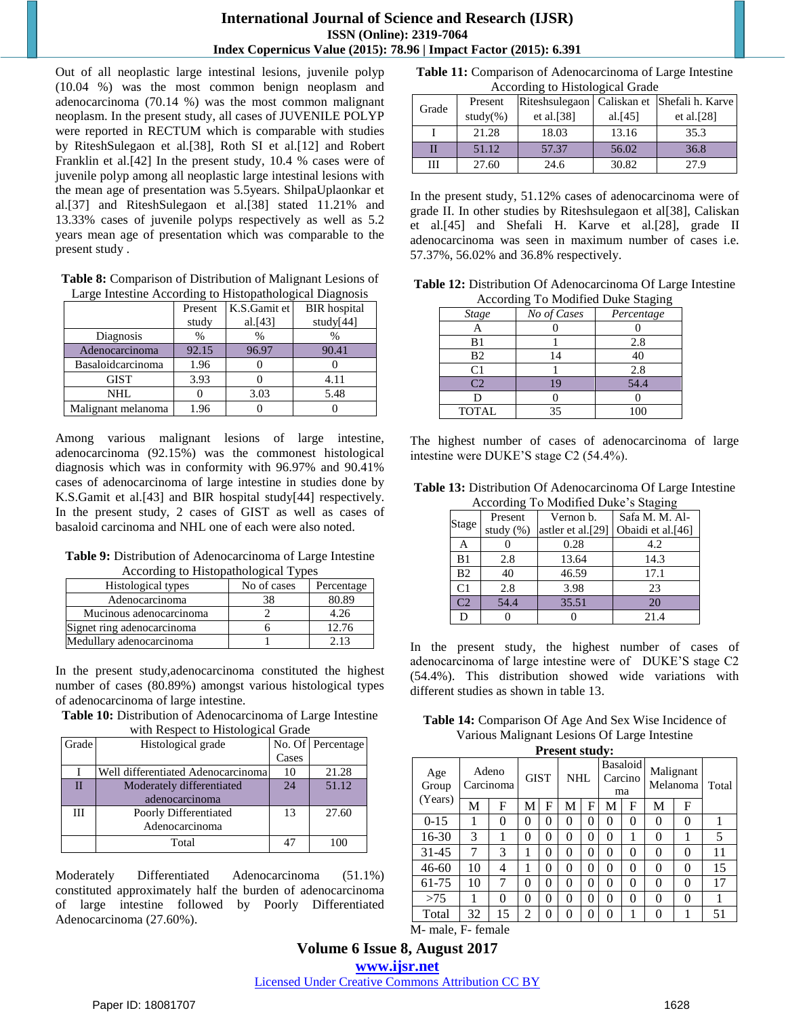Out of all neoplastic large intestinal lesions, juvenile polyp (10.04 %) was the most common benign neoplasm and adenocarcinoma (70.14 %) was the most common malignant neoplasm. In the present study, all cases of JUVENILE POLYP were reported in RECTUM which is comparable with studies by RiteshSulegaon et al.[38], Roth SI et al.[12] and Robert Franklin et al.[42] In the present study, 10.4 % cases were of juvenile polyp among all neoplastic large intestinal lesions with the mean age of presentation was 5.5years. ShilpaUplaonkar et al.[37] and RiteshSulegaon et al.[38] stated 11.21% and 13.33% cases of juvenile polyps respectively as well as 5.2 years mean age of presentation which was comparable to the present study .

**Table 8:** Comparison of Distribution of Malignant Lesions of Large Intestine According to Histopathological Diagnosis

|                    | Present | K.S.Gamit et | <b>BIR</b> hospital |
|--------------------|---------|--------------|---------------------|
|                    | study   | al. $[43]$   | study[44]           |
| Diagnosis          | %       | $\%$         | $\%$                |
| Adenocarcinoma     | 92.15   | 96.97        | 90.41               |
| Basaloidcarcinoma  | 1.96    |              |                     |
| <b>GIST</b>        | 3.93    |              | 4.11                |
| NHL                |         | 3.03         | 5.48                |
| Malignant melanoma | 1.96    |              |                     |

Among various malignant lesions of large intestine, adenocarcinoma (92.15%) was the commonest histological diagnosis which was in conformity with 96.97% and 90.41% cases of adenocarcinoma of large intestine in studies done by K.S.Gamit et al.[43] and BIR hospital study[44] respectively. In the present study, 2 cases of GIST as well as cases of basaloid carcinoma and NHL one of each were also noted.

**Table 9:** Distribution of Adenocarcinoma of Large Intestine According to Histopathological Types

| Histological types         | No of cases | Percentage |
|----------------------------|-------------|------------|
| Adenocarcinoma             |             | 80.89      |
| Mucinous adenocarcinoma    |             | 4.26       |
| Signet ring adenocarcinoma |             | 12.76      |
| Medullary adenocarcinoma   |             |            |

In the present study,adenocarcinoma constituted the highest number of cases (80.89%) amongst various histological types of adenocarcinoma of large intestine.

**Table 10:** Distribution of Adenocarcinoma of Large Intestine with Respect to Histological Grade

| Grade | Histological grade                 |       | No. Of Percentage |
|-------|------------------------------------|-------|-------------------|
|       |                                    | Cases |                   |
|       | Well differentiated Adenocarcinoma | 10    | 21.28             |
| П     | Moderately differentiated          | 24    | 51.12             |
|       | adenocarcinoma                     |       |                   |
| Ш     | Poorly Differentiated              | 13    | 27.60             |
|       | Adenocarcinoma                     |       |                   |
|       | Total                              |       | 100               |

Moderately Differentiated Adenocarcinoma (51.1%) constituted approximately half the burden of adenocarcinoma of large intestine followed by Poorly Differentiated Adenocarcinoma (27.60%).

**Table 11:** Comparison of Adenocarcinoma of Large Intestine According to Histological Grade

|       | recording to History Red Orade |                |            |                              |
|-------|--------------------------------|----------------|------------|------------------------------|
| Grade | Present                        | Riteshsulegaon |            | Caliskan et Shefali h. Karve |
|       | $study(\% )$                   | et al. $[38]$  | al. $[45]$ | et al. $[28]$                |
|       | 21.28                          | 18.03          | 13.16      | 35.3                         |
| П     | 51.12                          | 57.37          | 56.02      | 36.8                         |
| Ш     | 27.60                          | 24.6           | 30.82      | 27.9                         |

In the present study, 51.12% cases of adenocarcinoma were of grade II. In other studies by Riteshsulegaon et al[38], Caliskan et al.[45] and Shefali H. Karve et al.[28], grade II adenocarcinoma was seen in maximum number of cases i.e. 57.37%, 56.02% and 36.8% respectively.

| <b>Table 12:</b> Distribution Of Adenocarcinoma Of Large Intestine |
|--------------------------------------------------------------------|
| According To Modified Duke Staging                                 |

| ⊸<br>----      |             |            |  |  |
|----------------|-------------|------------|--|--|
| <b>Stage</b>   | No of Cases | Percentage |  |  |
|                |             |            |  |  |
| B1             |             | 2.8        |  |  |
| <b>B2</b>      |             | 40         |  |  |
| C1             |             | 2.8        |  |  |
| C <sub>2</sub> |             | 54.4       |  |  |
|                |             |            |  |  |
| <b>TOTAL</b>   | 35          | 100        |  |  |

The highest number of cases of adenocarcinoma of large intestine were DUKE'S stage C2 (54.4%).

| <b>Table 13:</b> Distribution Of Adenocarcinoma Of Large Intestine |
|--------------------------------------------------------------------|
| According To Modified Duke's Staging                               |

| According To Modified Duke 8 Blagfing |           |                   |                   |  |  |  |  |  |  |  |
|---------------------------------------|-----------|-------------------|-------------------|--|--|--|--|--|--|--|
| Stage                                 | Present   | Vernon b.         | Safa M. M. Al-    |  |  |  |  |  |  |  |
|                                       | study (%) | astler et al.[29] | Obaidi et al.[46] |  |  |  |  |  |  |  |
| Α                                     |           | 0.28              | 4.2               |  |  |  |  |  |  |  |
| B1                                    | 2.8       | 13.64             | 14.3              |  |  |  |  |  |  |  |
| B <sub>2</sub>                        | 40        | 46.59             | 17.1              |  |  |  |  |  |  |  |
| C <sub>1</sub>                        | 2.8       | 3.98              | 23                |  |  |  |  |  |  |  |
| C <sub>2</sub>                        | 54.4      | 35.51             | 20                |  |  |  |  |  |  |  |
| D                                     |           |                   | 21.4              |  |  |  |  |  |  |  |

In the present study, the highest number of cases of adenocarcinoma of large intestine were of DUKE'S stage C2 (54.4%). This distribution showed wide variations with different studies as shown in table 13.

**Table 14:** Comparison Of Age And Sex Wise Incidence of Various Malignant Lesions Of Large Intestine

| <b>Present study:</b>   |                    |    |                |          |     |   |                                  |          |                       |          |       |  |  |
|-------------------------|--------------------|----|----------------|----------|-----|---|----------------------------------|----------|-----------------------|----------|-------|--|--|
| Age<br>Group<br>(Years) | Adeno<br>Carcinoma |    | <b>GIST</b>    |          | NHL |   | <b>Basaloid</b><br>Carcino<br>ma |          | Malignant<br>Melanoma |          | Total |  |  |
|                         | M                  | F  | М              | F        | M   | F | M                                | F        | M                     | F        |       |  |  |
| $0-15$                  |                    | 0  | 0              | $\theta$ | 0   | 0 | $\Omega$                         | 0        | 0                     | $\theta$ |       |  |  |
| 16-30                   | 3                  | 1  | 0              | $\Omega$ | 0   | 0 | $\theta$                         |          | 0                     |          | 5     |  |  |
| $31 - 45$               | 7                  | 3  |                | $\theta$ | 0   | 0 | $\Omega$                         | 0        | 0                     | 0        | 11    |  |  |
| $46 - 60$               | 10                 | 4  |                | $\theta$ | 0   | 0 | $\Omega$                         | $\Omega$ | $\Omega$              | $\theta$ | 15    |  |  |
| 61-75                   | 10                 | 7  | 0              | $\theta$ | 0   | 0 | $\Omega$                         | $\Omega$ | $\Omega$              | $\theta$ | 17    |  |  |
| >75                     | 1                  | 0  | 0              | $\theta$ | 0   | 0 | $\theta$                         | $\theta$ | 0                     | 0        |       |  |  |
| Total                   | 32                 | 15 | $\overline{c}$ | 0        | 0   | 0 | 0                                |          | 0                     |          | 51    |  |  |

M- male, F- female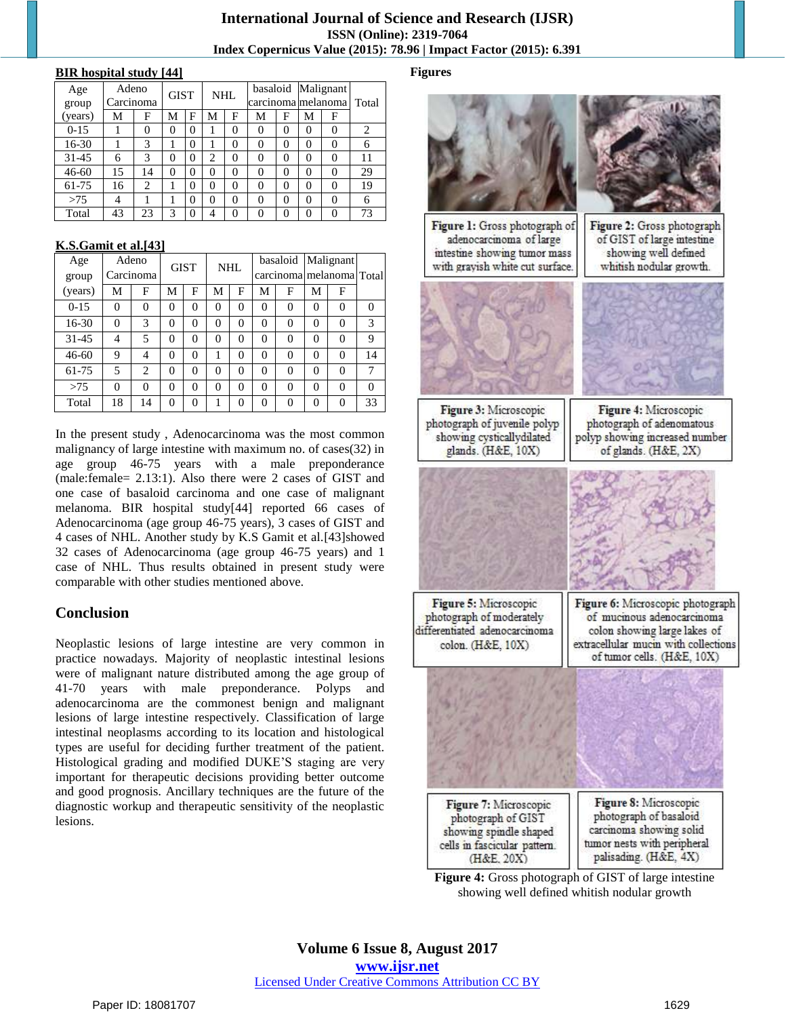# **International Journal of Science and Research (IJSR) ISSN (Online): 2319-7064 Index Copernicus Value (2015): 78.96 | Impact Factor (2015): 6.391**

#### **BIR hospital study [44]**

| Age<br>group | Adeno<br>Carcinoma |                | <b>GIST</b> |          | NHL            |   |          |          | basaloid Malignant<br>carcinoma melanoma l |          | Total |
|--------------|--------------------|----------------|-------------|----------|----------------|---|----------|----------|--------------------------------------------|----------|-------|
| (years)      | М                  | F              | М           | F        | М              | F | М        | F        | M                                          | F        |       |
| $0 - 15$     |                    | 0              | 0           | 0        |                | 0 | 0        | $\theta$ | 0                                          | 0        | 2     |
| 16-30        |                    | 3              |             | 0        |                | 0 | 0        | $\theta$ | 0                                          | $\theta$ | 6     |
| $31 - 45$    | 6                  | 3              | 0           | $\theta$ | $\overline{c}$ | 0 | 0        | $\theta$ | $\Omega$                                   | $\theta$ | 11    |
| $46 - 60$    | 15                 | 14             | 0           | 0        | 0              | 0 | 0        | 0        | $\theta$                                   | $\theta$ | 29    |
| 61-75        | 16                 | $\overline{2}$ |             | $\theta$ | 0              | 0 | 0        | 0        | $\theta$                                   | $\theta$ | 19    |
| >75          | 4                  |                |             | $\theta$ | 0              | 0 | $\Omega$ | 0        | 0                                          | $\theta$ | 6     |
| Total        | 43                 | 23             | 3           | $\theta$ | 4              | 0 |          |          | 0                                          | 0        | 73    |

#### **K.S.Gamit et al.[43]**

| Age       |          | Adeno                       | <b>GIST</b> |          | <b>NHL</b> |          | basaloid |          | Malignant                |          |          |
|-----------|----------|-----------------------------|-------------|----------|------------|----------|----------|----------|--------------------------|----------|----------|
| group     |          | Carcinoma                   |             |          |            |          |          |          | carcinoma melanoma Total |          |          |
| (years)   | М        | F                           | M           | F        | М          | F        | M        | F        | Μ                        | F        |          |
| $0 - 15$  | $\theta$ | $\Omega$                    | 0           | $\Omega$ | 0          | $\Omega$ | $\Omega$ | $\theta$ | $\Omega$                 | $\Omega$ | $\Omega$ |
| 16-30     | $\theta$ | 3                           | 0           | $\theta$ | 0          | $\theta$ | $\theta$ | $\theta$ | $\theta$                 | $\theta$ | 3        |
| 31-45     | 4        | 5                           | 0           | $\theta$ | 0          | $\Omega$ | $\theta$ | $\theta$ | $\Omega$                 | $\theta$ | 9        |
| $46 - 60$ | 9        | 4                           | $\Omega$    | $\Omega$ |            | $\Omega$ | $\Omega$ | $\theta$ | $\Omega$                 | $\Omega$ | 14       |
| 61-75     | 5        | $\mathcal{D}_{\mathcal{L}}$ | $\Omega$    | $\Omega$ | 0          | $\Omega$ | $\theta$ | $\theta$ | $\Omega$                 | $\Omega$ | 7        |
| >75       | $\theta$ | $\Omega$                    | 0           | $\Omega$ | 0          | $\Omega$ | $\Omega$ | $\theta$ | $\Omega$                 | $\Omega$ | $\Omega$ |
| Total     | 18       | 14                          | 0           | $\Omega$ |            | $\Omega$ | $\Omega$ | $\Omega$ | $\Omega$                 | $\Omega$ | 33       |

In the present study , Adenocarcinoma was the most common malignancy of large intestine with maximum no. of cases(32) in age group 46-75 years with a male preponderance (male:female= 2.13:1). Also there were 2 cases of GIST and one case of basaloid carcinoma and one case of malignant melanoma. BIR hospital study[44] reported 66 cases of Adenocarcinoma (age group 46-75 years), 3 cases of GIST and 4 cases of NHL. Another study by K.S Gamit et al.[43]showed 32 cases of Adenocarcinoma (age group 46-75 years) and 1 case of NHL. Thus results obtained in present study were comparable with other studies mentioned above.

# **Conclusion**

Neoplastic lesions of large intestine are very common in practice nowadays. Majority of neoplastic intestinal lesions were of malignant nature distributed among the age group of 41-70 years with male preponderance. Polyps and adenocarcinoma are the commonest benign and malignant lesions of large intestine respectively. Classification of large intestinal neoplasms according to its location and histological types are useful for deciding further treatment of the patient. Histological grading and modified DUKE'S staging are very important for therapeutic decisions providing better outcome and good prognosis. Ancillary techniques are the future of the diagnostic workup and therapeutic sensitivity of the neoplastic lesions.

# **Figures**



**Figure 4:** Gross photograph of GIST of large intestine showing well defined whitish nodular growth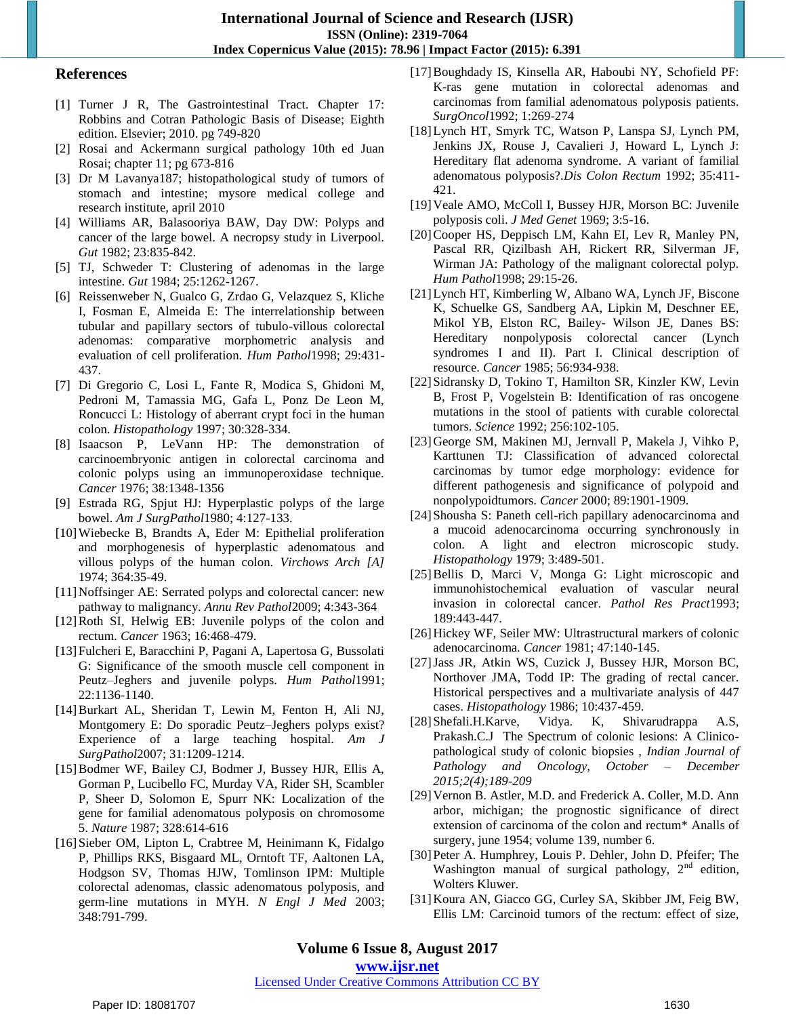# **References**

- [1] Turner J R, The Gastrointestinal Tract. Chapter 17: Robbins and Cotran Pathologic Basis of Disease; Eighth edition. Elsevier; 2010. pg 749-820
- [2] Rosai and Ackermann surgical pathology 10th ed Juan Rosai; chapter 11; pg 673-816
- [3] Dr M Lavanya187; histopathological study of tumors of stomach and intestine; mysore medical college and research institute, april 2010
- [4] Williams AR, Balasooriya BAW, Day DW: Polyps and cancer of the large bowel. A necropsy study in Liverpool. *Gut* 1982; 23:835-842.
- [5] TJ, Schweder T: Clustering of adenomas in the large intestine. *Gut* 1984; 25:1262-1267.
- [6] Reissenweber N, Gualco G, Zrdao G, Velazquez S, Kliche I, Fosman E, Almeida E: The interrelationship between tubular and papillary sectors of tubulo-villous colorectal adenomas: comparative morphometric analysis and evaluation of cell proliferation. *Hum Pathol*1998; 29:431- 437.
- [7] Di Gregorio C, Losi L, Fante R, Modica S, Ghidoni M, Pedroni M, Tamassia MG, Gafa L, Ponz De Leon M, Roncucci L: Histology of aberrant crypt foci in the human colon. *Histopathology* 1997; 30:328-334.
- [8] Isaacson P, LeVann HP: The demonstration of carcinoembryonic antigen in colorectal carcinoma and colonic polyps using an immunoperoxidase technique. *Cancer* 1976; 38:1348-1356
- [9] Estrada RG, Spjut HJ: Hyperplastic polyps of the large bowel. *Am J SurgPathol*1980; 4:127-133.
- [10]Wiebecke B, Brandts A, Eder M: Epithelial proliferation and morphogenesis of hyperplastic adenomatous and villous polyps of the human colon. *Virchows Arch [A]*  1974; 364:35-49.
- [11]Noffsinger AE: Serrated polyps and colorectal cancer: new pathway to malignancy. *Annu Rev Pathol*2009; 4:343-364
- [12]Roth SI, Helwig EB: Juvenile polyps of the colon and rectum. *Cancer* 1963; 16:468-479.
- [13]Fulcheri E, Baracchini P, Pagani A, Lapertosa G, Bussolati G: Significance of the smooth muscle cell component in Peutz–Jeghers and juvenile polyps. *Hum Pathol*1991; 22:1136-1140.
- [14]Burkart AL, Sheridan T, Lewin M, Fenton H, Ali NJ, Montgomery E: Do sporadic Peutz–Jeghers polyps exist? Experience of a large teaching hospital. *Am J SurgPathol*2007; 31:1209-1214.
- [15]Bodmer WF, Bailey CJ, Bodmer J, Bussey HJR, Ellis A, Gorman P, Lucibello FC, Murday VA, Rider SH, Scambler P, Sheer D, Solomon E, Spurr NK: Localization of the gene for familial adenomatous polyposis on chromosome 5. *Nature* 1987; 328:614-616
- [16]Sieber OM, Lipton L, Crabtree M, Heinimann K, Fidalgo P, Phillips RKS, Bisgaard ML, Orntoft TF, Aaltonen LA, Hodgson SV, Thomas HJW, Tomlinson IPM: Multiple colorectal adenomas, classic adenomatous polyposis, and germ-line mutations in MYH. *N Engl J Med* 2003; 348:791-799.
- [17]Boughdady IS, Kinsella AR, Haboubi NY, Schofield PF: K-ras gene mutation in colorectal adenomas and carcinomas from familial adenomatous polyposis patients. *SurgOncol*1992; 1:269-274
- [18]Lynch HT, Smyrk TC, Watson P, Lanspa SJ, Lynch PM, Jenkins JX, Rouse J, Cavalieri J, Howard L, Lynch J: Hereditary flat adenoma syndrome. A variant of familial adenomatous polyposis?.*Dis Colon Rectum* 1992; 35:411- 421.
- [19]Veale AMO, McColl I, Bussey HJR, Morson BC: Juvenile polyposis coli. *J Med Genet* 1969; 3:5-16.
- [20] Cooper HS, Deppisch LM, Kahn EI, Lev R, Manley PN, Pascal RR, Qizilbash AH, Rickert RR, Silverman JF, Wirman JA: Pathology of the malignant colorectal polyp. *Hum Pathol*1998; 29:15-26.
- [21]Lynch HT, Kimberling W, Albano WA, Lynch JF, Biscone K, Schuelke GS, Sandberg AA, Lipkin M, Deschner EE, Mikol YB, Elston RC, Bailey- Wilson JE, Danes BS: Hereditary nonpolyposis colorectal cancer (Lynch syndromes I and II). Part I. Clinical description of resource. *Cancer* 1985; 56:934-938.
- [22]Sidransky D, Tokino T, Hamilton SR, Kinzler KW, Levin B, Frost P, Vogelstein B: Identification of ras oncogene mutations in the stool of patients with curable colorectal tumors. *Science* 1992; 256:102-105.
- [23]George SM, Makinen MJ, Jernvall P, Makela J, Vihko P, Karttunen TJ: Classification of advanced colorectal carcinomas by tumor edge morphology: evidence for different pathogenesis and significance of polypoid and nonpolypoidtumors. *Cancer* 2000; 89:1901-1909.
- [24] Shousha S: Paneth cell-rich papillary adenocarcinoma and a mucoid adenocarcinoma occurring synchronously in colon. A light and electron microscopic study. *Histopathology* 1979; 3:489-501.
- [25]Bellis D, Marci V, Monga G: Light microscopic and immunohistochemical evaluation of vascular neural invasion in colorectal cancer. *Pathol Res Pract*1993; 189:443-447.
- [26]Hickey WF, Seiler MW: Ultrastructural markers of colonic adenocarcinoma. *Cancer* 1981; 47:140-145.
- [27]Jass JR, Atkin WS, Cuzick J, Bussey HJR, Morson BC, Northover JMA, Todd IP: The grading of rectal cancer. Historical perspectives and a multivariate analysis of 447 cases. *Histopathology* 1986; 10:437-459.
- [28]Shefali.H.Karve, Vidya. K, Shivarudrappa A.S, Prakash.C.J The Spectrum of colonic lesions: A Clinicopathological study of colonic biopsies , *Indian Journal of Pathology and Oncology, October – December 2015;2(4);189-209*
- [29] Vernon B. Astler, M.D. and Frederick A. Coller, M.D. Ann arbor, michigan; the prognostic significance of direct extension of carcinoma of the colon and rectum\* Analls of surgery, june 1954; volume 139, number 6.
- [30]Peter A. Humphrey, Louis P. Dehler, John D. Pfeifer; The Washington manual of surgical pathology,  $2<sup>nd</sup>$  edition, Wolters Kluwer.
- [31]Koura AN, Giacco GG, Curley SA, Skibber JM, Feig BW, Ellis LM: Carcinoid tumors of the rectum: effect of size,

## [Licensed Under Creative Commons Attribution CC BY](http://creativecommons.org/licenses/by/4.0/)